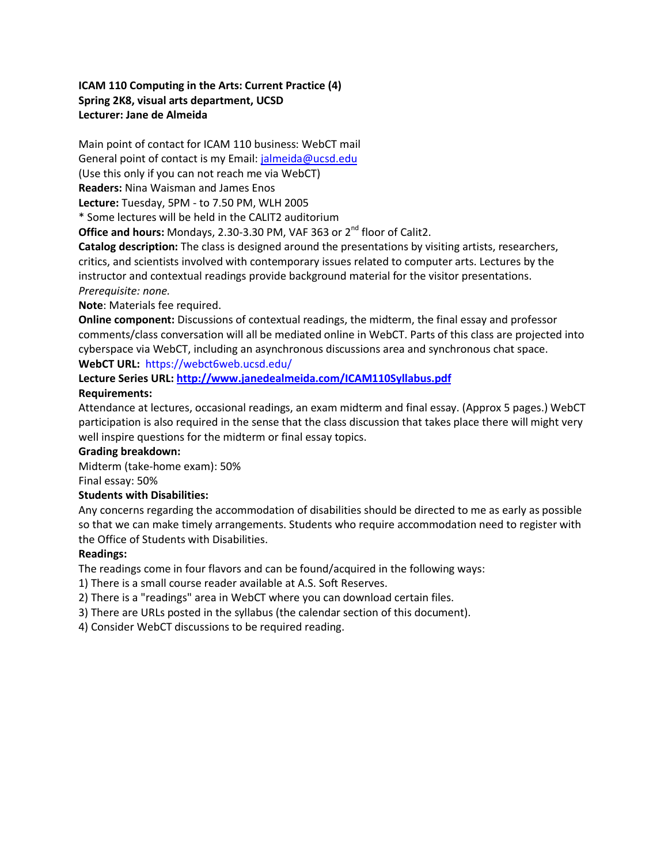# **ICAM 110 Computing in the Arts: Current Practice (4) Spring 2K8, visual arts department, UCSD Lecturer: Jane de Almeida**

Main point of contact for ICAM 110 business: WebCT mail General point of contact is my Email: jalmeida@ucsd.edu (Use this only if you can not reach me via WebCT) **Readers:** Nina Waisman and James Enos **Lecture:** Tuesday, 5PM - to 7.50 PM, WLH 2005 \* Some lectures will be held in the CALIT2 auditorium

**Office and hours:** Mondays, 2.30-3.30 PM, VAF 363 or 2<sup>nd</sup> floor of Calit2.

**Catalog description:** The class is designed around the presentations by visiting artists, researchers, critics, and scientists involved with contemporary issues related to computer arts. Lectures by the instructor and contextual readings provide background material for the visitor presentations. *Prerequisite: none.*

# **Note**: Materials fee required.

**Online component:** Discussions of contextual readings, the midterm, the final essay and professor comments/class conversation will all be mediated online in WebCT. Parts of this class are projected into cyberspace via WebCT, including an asynchronous discussions area and synchronous chat space. **WebCT URL:** https://webct6web.ucsd.edu/

**Lecture Series URL: http://www.janedealmeida.com/ICAM110Syllabus.pdf**

# **Requirements:**

Attendance at lectures, occasional readings, an exam midterm and final essay. (Approx 5 pages.) WebCT participation is also required in the sense that the class discussion that takes place there will might very well inspire questions for the midterm or final essay topics.

### **Grading breakdown:**

Midterm (take-home exam): 50%

### Final essay: 50%

# **Students with Disabilities:**

Any concerns regarding the accommodation of disabilities should be directed to me as early as possible so that we can make timely arrangements. Students who require accommodation need to register with the Office of Students with Disabilities.

# **Readings:**

The readings come in four flavors and can be found/acquired in the following ways:

- 1) There is a small course reader available at A.S. Soft Reserves.
- 2) There is a "readings" area in WebCT where you can download certain files.
- 3) There are URLs posted in the syllabus (the calendar section of this document).
- 4) Consider WebCT discussions to be required reading.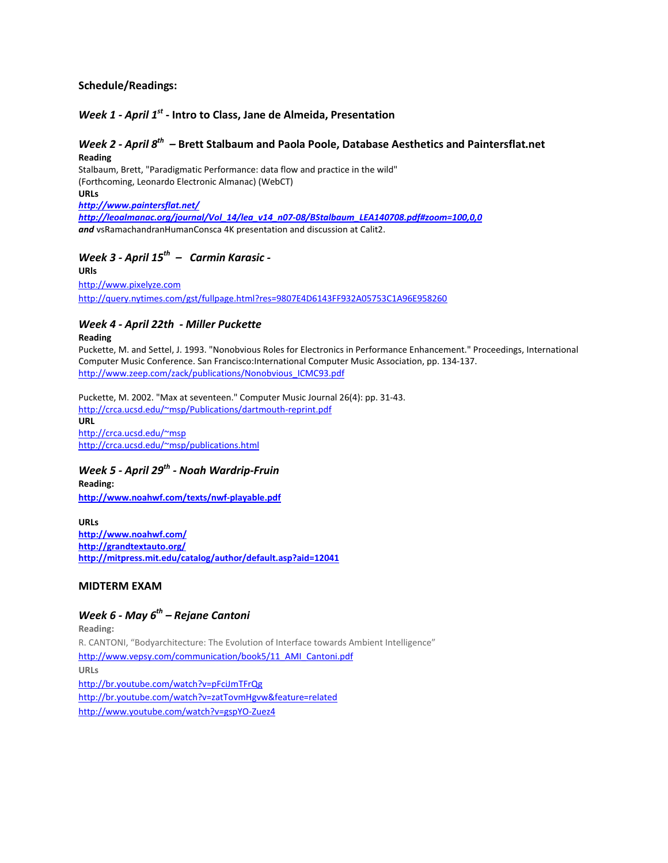#### **Schedule/Readings:**

### *Week 1 - April 1st* **- Intro to Class, Jane de Almeida, Presentation**

#### *Week 2 - April 8th –* **Brett Stalbaum and Paola Poole, Database Aesthetics and Paintersflat.net Reading**

Stalbaum, Brett, "Paradigmatic Performance: data flow and practice in the wild" (Forthcoming, Leonardo Electronic Almanac) (WebCT) **URLs**  *http://www.paintersflat.net/ http://leoalmanac.org/journal/Vol\_14/lea\_v14\_n07-08/BStalbaum\_LEA140708.pdf#zoom=100,0,0*

*and* vsRamachandranHumanConsca 4K presentation and discussion at Calit2.

# *Week 3 - April 15th – Carmin Karasic -*

**URls** http://www.pixelyze.com http://query.nytimes.com/gst/fullpage.html?res=9807E4D6143FF932A05753C1A96E958260

#### *Week 4 - April 22th - Miller Puckette*

#### **Reading**

Puckette, M. and Settel, J. 1993. "Nonobvious Roles for Electronics in Performance Enhancement." Proceedings, International Computer Music Conference. San Francisco:International Computer Music Association, pp. 134-137. http://www.zeep.com/zack/publications/Nonobvious\_ICMC93.pdf

Puckette, M. 2002. "Max at seventeen." Computer Music Journal 26(4): pp. 31-43. http://crca.ucsd.edu/~msp/Publications/dartmouth-reprint.pdf

**URL**  http://crca.ucsd.edu/~msp http://crca.ucsd.edu/~msp/publications.html

*Week 5 - April 29th - Noah Wardrip-Fruin* **Reading: http://www.noahwf.com/texts/nwf-playable.pdf**

**URLs http://www.noahwf.com/ http://grandtextauto.org/ http://mitpress.mit.edu/catalog/author/default.asp?aid=12041**

#### **MIDTERM EXAM**

# *Week 6 - May 6th – Rejane Cantoni*

**Reading:**  R. CANTONI, "Bodyarchitecture: The Evolution of Interface towards Ambient Intelligence" http://www.vepsy.com/communication/book5/11\_AMI\_Cantoni.pdf **URLs**  http://br.youtube.com/watch?v=pFciJmTFrQg http://br.youtube.com/watch?v=zatTovmHgvw&feature=related http://www.youtube.com/watch?v=gspYO-Zuez4